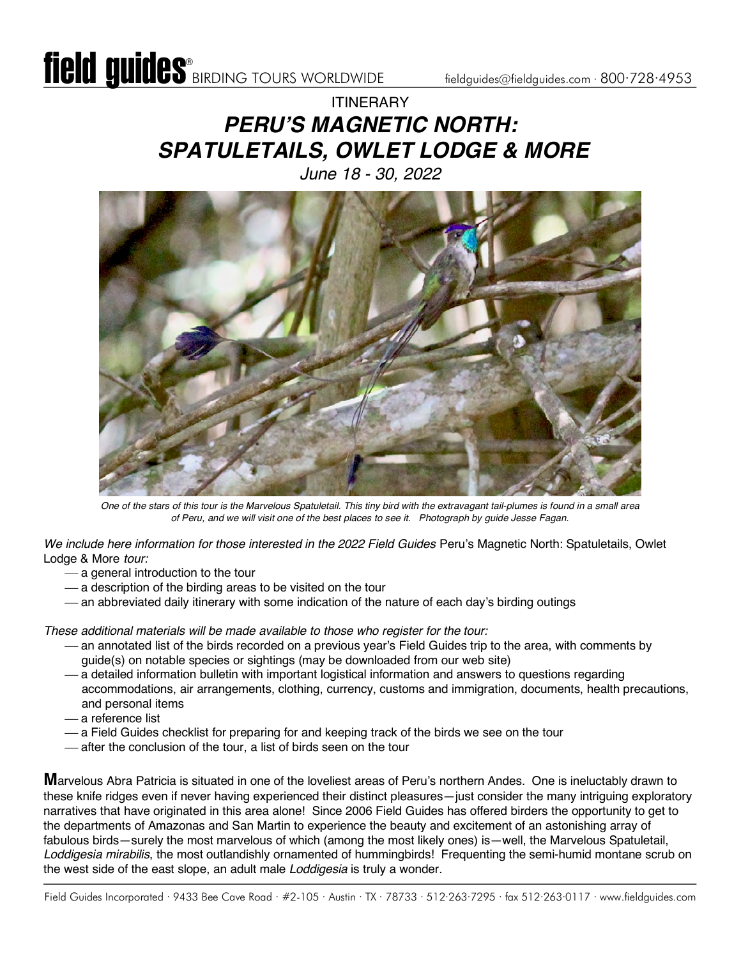### ITINERARY *PERU'S MAGNETIC NORTH: SPATULETAILS, OWLET LODGE & MORE June 18 - 30, 2022*



*One of the stars of this tour is the Marvelous Spatuletail. This tiny bird with the extravagant tail-plumes is found in a small area of Peru, and we will visit one of the best places to see it. Photograph by guide Jesse Fagan.*

*We include here information for those interested in the 2022 Field Guides* Peru's Magnetic North: Spatuletails, Owlet Lodge & More *tour:*

- a general introduction to the tour
- $-$  a description of the birding areas to be visited on the tour
- an abbreviated daily itinerary with some indication of the nature of each day's birding outings

*These additional materials will be made available to those who register for the tour:*

- ¾ an annotated list of the birds recorded on a previous year's Field Guides trip to the area, with comments by guide(s) on notable species or sightings (may be downloaded from our web site)
- ¾ a detailed information bulletin with important logistical information and answers to questions regarding accommodations, air arrangements, clothing, currency, customs and immigration, documents, health precautions, and personal items
- ¾ a reference list
- a Field Guides checklist for preparing for and keeping track of the birds we see on the tour
- after the conclusion of the tour, a list of birds seen on the tour

**M**arvelous Abra Patricia is situated in one of the loveliest areas of Peru's northern Andes. One is ineluctably drawn to these knife ridges even if never having experienced their distinct pleasures—just consider the many intriguing exploratory narratives that have originated in this area alone! Since 2006 Field Guides has offered birders the opportunity to get to the departments of Amazonas and San Martin to experience the beauty and excitement of an astonishing array of fabulous birds—surely the most marvelous of which (among the most likely ones) is—well, the Marvelous Spatuletail, *Loddigesia mirabilis*, the most outlandishly ornamented of hummingbirds! Frequenting the semi-humid montane scrub on the west side of the east slope, an adult male *Loddigesia* is truly a wonder.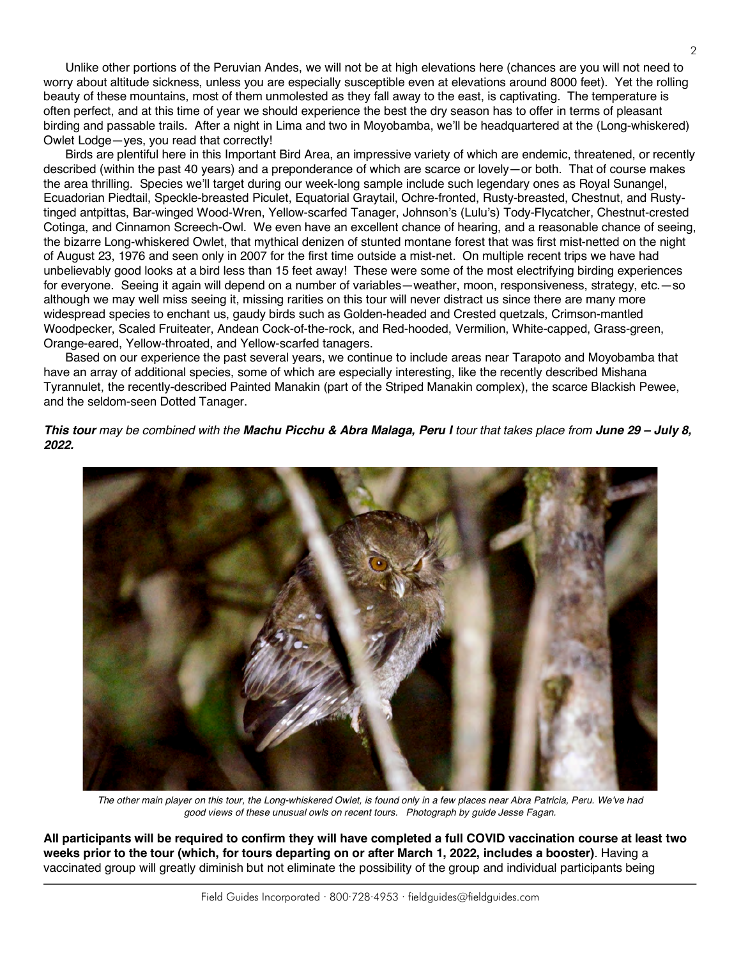Unlike other portions of the Peruvian Andes, we will not be at high elevations here (chances are you will not need to worry about altitude sickness, unless you are especially susceptible even at elevations around 8000 feet). Yet the rolling beauty of these mountains, most of them unmolested as they fall away to the east, is captivating. The temperature is often perfect, and at this time of year we should experience the best the dry season has to offer in terms of pleasant birding and passable trails. After a night in Lima and two in Moyobamba, we'll be headquartered at the (Long-whiskered) Owlet Lodge—yes, you read that correctly!

Birds are plentiful here in this Important Bird Area, an impressive variety of which are endemic, threatened, or recently described (within the past 40 years) and a preponderance of which are scarce or lovely—or both. That of course makes the area thrilling. Species we'll target during our week-long sample include such legendary ones as Royal Sunangel, Ecuadorian Piedtail, Speckle-breasted Piculet, Equatorial Graytail, Ochre-fronted, Rusty-breasted, Chestnut, and Rustytinged antpittas, Bar-winged Wood-Wren, Yellow-scarfed Tanager, Johnson's (Lulu's) Tody-Flycatcher, Chestnut-crested Cotinga, and Cinnamon Screech-Owl. We even have an excellent chance of hearing, and a reasonable chance of seeing, the bizarre Long-whiskered Owlet, that mythical denizen of stunted montane forest that was first mist-netted on the night of August 23, 1976 and seen only in 2007 for the first time outside a mist-net. On multiple recent trips we have had unbelievably good looks at a bird less than 15 feet away! These were some of the most electrifying birding experiences for everyone. Seeing it again will depend on a number of variables—weather, moon, responsiveness, strategy, etc.—so although we may well miss seeing it, missing rarities on this tour will never distract us since there are many more widespread species to enchant us, gaudy birds such as Golden-headed and Crested quetzals, Crimson-mantled Woodpecker, Scaled Fruiteater, Andean Cock-of-the-rock, and Red-hooded, Vermilion, White-capped, Grass-green, Orange-eared, Yellow-throated, and Yellow-scarfed tanagers.

Based on our experience the past several years, we continue to include areas near Tarapoto and Moyobamba that have an array of additional species, some of which are especially interesting, like the recently described Mishana Tyrannulet, the recently-described Painted Manakin (part of the Striped Manakin complex), the scarce Blackish Pewee, and the seldom-seen Dotted Tanager.

*This tour may be combined with the Machu Picchu & Abra Malaga, Peru I tour that takes place from June 29 – July 8, 2022.* 



*The other main player on this tour, the Long-whiskered Owlet, is found only in a few places near Abra Patricia, Peru. We've had good views of these unusual owls on recent tours. Photograph by guide Jesse Fagan.*

**All participants will be required to confirm they will have completed a full COVID vaccination course at least two weeks prior to the tour (which, for tours departing on or after March 1, 2022, includes a booster)**. Having a vaccinated group will greatly diminish but not eliminate the possibility of the group and individual participants being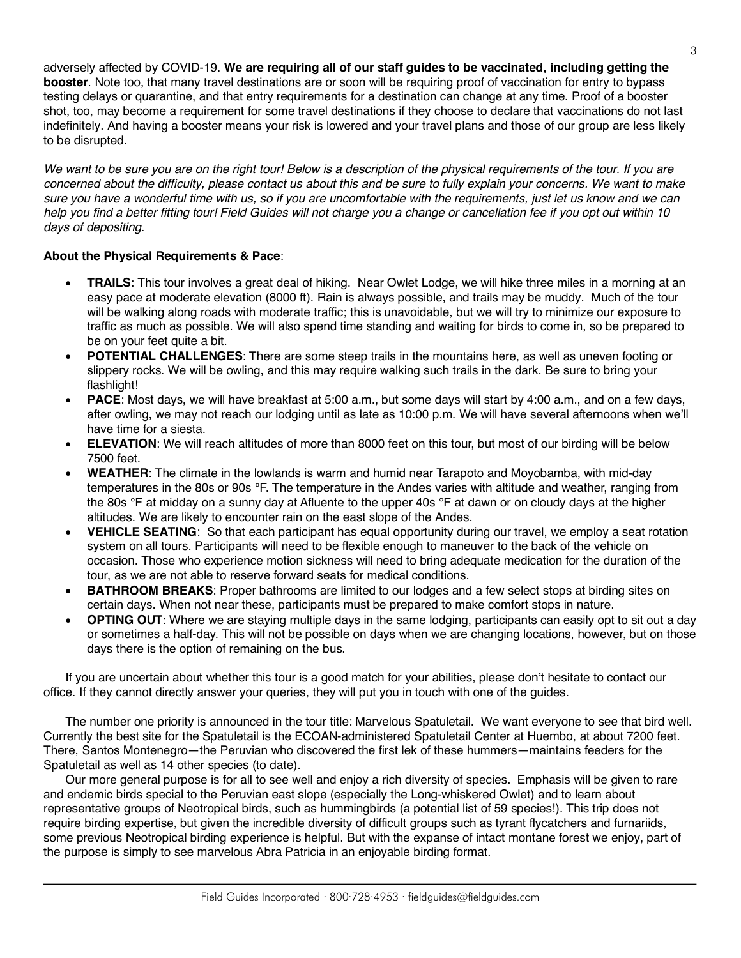adversely affected by COVID-19. **We are requiring all of our staff guides to be vaccinated, including getting the booster**. Note too, that many travel destinations are or soon will be requiring proof of vaccination for entry to bypass testing delays or quarantine, and that entry requirements for a destination can change at any time. Proof of a booster shot, too, may become a requirement for some travel destinations if they choose to declare that vaccinations do not last indefinitely. And having a booster means your risk is lowered and your travel plans and those of our group are less likely to be disrupted.

*We want to be sure you are on the right tour! Below is a description of the physical requirements of the tour. If you are concerned about the difficulty, please contact us about this and be sure to fully explain your concerns. We want to make sure you have a wonderful time with us, so if you are uncomfortable with the requirements, just let us know and we can help you find a better fitting tour! Field Guides will not charge you a change or cancellation fee if you opt out within 10 days of depositing.*

#### **About the Physical Requirements & Pace**:

- **TRAILS**: This tour involves a great deal of hiking. Near Owlet Lodge, we will hike three miles in a morning at an easy pace at moderate elevation (8000 ft). Rain is always possible, and trails may be muddy. Much of the tour will be walking along roads with moderate traffic; this is unavoidable, but we will try to minimize our exposure to traffic as much as possible. We will also spend time standing and waiting for birds to come in, so be prepared to be on your feet quite a bit.
- **POTENTIAL CHALLENGES**: There are some steep trails in the mountains here, as well as uneven footing or slippery rocks. We will be owling, and this may require walking such trails in the dark. Be sure to bring your flashlight!
- **PACE**: Most days, we will have breakfast at 5:00 a.m., but some days will start by 4:00 a.m., and on a few days, after owling, we may not reach our lodging until as late as 10:00 p.m. We will have several afternoons when we'll have time for a siesta.
- **ELEVATION:** We will reach altitudes of more than 8000 feet on this tour, but most of our birding will be below 7500 feet.
- **WEATHER**: The climate in the lowlands is warm and humid near Tarapoto and Moyobamba, with mid-day temperatures in the 80s or 90s °F. The temperature in the Andes varies with altitude and weather, ranging from the 80s °F at midday on a sunny day at Afluente to the upper 40s °F at dawn or on cloudy days at the higher altitudes. We are likely to encounter rain on the east slope of the Andes.
- **VEHICLE SEATING**: So that each participant has equal opportunity during our travel, we employ a seat rotation system on all tours. Participants will need to be flexible enough to maneuver to the back of the vehicle on occasion. Those who experience motion sickness will need to bring adequate medication for the duration of the tour, as we are not able to reserve forward seats for medical conditions.
- **BATHROOM BREAKS:** Proper bathrooms are limited to our lodges and a few select stops at birding sites on certain days. When not near these, participants must be prepared to make comfort stops in nature.
- **OPTING OUT**: Where we are staying multiple days in the same lodging, participants can easily opt to sit out a day or sometimes a half-day. This will not be possible on days when we are changing locations, however, but on those days there is the option of remaining on the bus.

If you are uncertain about whether this tour is a good match for your abilities, please don't hesitate to contact our office. If they cannot directly answer your queries, they will put you in touch with one of the guides.

The number one priority is announced in the tour title: Marvelous Spatuletail. We want everyone to see that bird well. Currently the best site for the Spatuletail is the ECOAN-administered Spatuletail Center at Huembo, at about 7200 feet. There, Santos Montenegro—the Peruvian who discovered the first lek of these hummers—maintains feeders for the Spatuletail as well as 14 other species (to date).

Our more general purpose is for all to see well and enjoy a rich diversity of species. Emphasis will be given to rare and endemic birds special to the Peruvian east slope (especially the Long-whiskered Owlet) and to learn about representative groups of Neotropical birds, such as hummingbirds (a potential list of 59 species!). This trip does not require birding expertise, but given the incredible diversity of difficult groups such as tyrant flycatchers and furnariids, some previous Neotropical birding experience is helpful. But with the expanse of intact montane forest we enjoy, part of the purpose is simply to see marvelous Abra Patricia in an enjoyable birding format.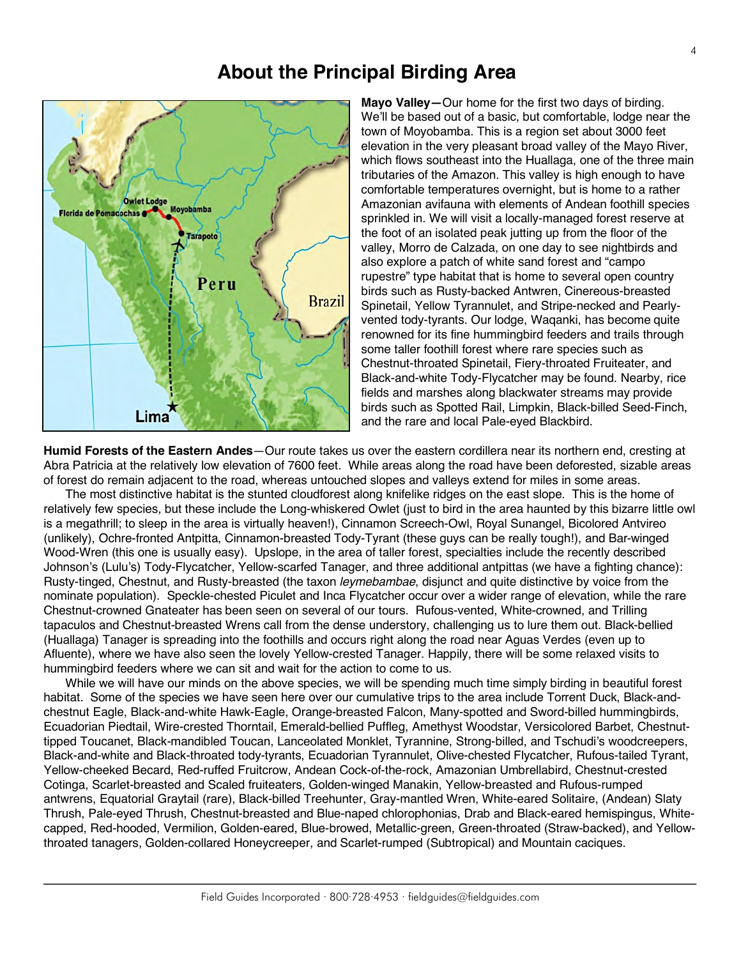#### **About the Principal Birding Area**



**Mayo Valley—**Our home for the first two days of birding. We'll be based out of a basic, but comfortable, lodge near the town of Moyobamba. This is a region set about 3000 feet elevation in the very pleasant broad valley of the Mayo River, which flows southeast into the Huallaga, one of the three main tributaries of the Amazon. This valley is high enough to have comfortable temperatures overnight, but is home to a rather Amazonian avifauna with elements of Andean foothill species sprinkled in. We will visit a locally-managed forest reserve at the foot of an isolated peak jutting up from the floor of the valley, Morro de Calzada, on one day to see nightbirds and also explore a patch of white sand forest and "campo rupestre" type habitat that is home to several open country birds such as Rusty-backed Antwren, Cinereous-breasted Spinetail, Yellow Tyrannulet, and Stripe-necked and Pearlyvented tody-tyrants. Our lodge, Waqanki, has become quite renowned for its fine hummingbird feeders and trails through some taller foothill forest where rare species such as Chestnut-throated Spinetail, Fiery-throated Fruiteater, and Black-and-white Tody-Flycatcher may be found. Nearby, rice fields and marshes along blackwater streams may provide birds such as Spotted Rail, Limpkin, Black-billed Seed-Finch, and the rare and local Pale-eyed Blackbird.

**Humid Forests of the Eastern Andes**—Our route takes us over the eastern cordillera near its northern end, cresting at Abra Patricia at the relatively low elevation of 7600 feet. While areas along the road have been deforested, sizable areas of forest do remain adjacent to the road, whereas untouched slopes and valleys extend for miles in some areas.

The most distinctive habitat is the stunted cloudforest along knifelike ridges on the east slope. This is the home of relatively few species, but these include the Long-whiskered Owlet (just to bird in the area haunted by this bizarre little owl is a megathrill; to sleep in the area is virtually heaven!), Cinnamon Screech-Owl, Royal Sunangel, Bicolored Antvireo (unlikely), Ochre-fronted Antpitta, Cinnamon-breasted Tody-Tyrant (these guys can be really tough!), and Bar-winged Wood-Wren (this one is usually easy). Upslope, in the area of taller forest, specialties include the recently described Johnson's (Lulu's) Tody-Flycatcher, Yellow-scarfed Tanager, and three additional antpittas (we have a fighting chance): Rusty-tinged, Chestnut, and Rusty-breasted (the taxon *leymebambae*, disjunct and quite distinctive by voice from the nominate population). Speckle-chested Piculet and Inca Flycatcher occur over a wider range of elevation, while the rare Chestnut-crowned Gnateater has been seen on several of our tours. Rufous-vented, White-crowned, and Trilling tapaculos and Chestnut-breasted Wrens call from the dense understory, challenging us to lure them out. Black-bellied (Huallaga) Tanager is spreading into the foothills and occurs right along the road near Aguas Verdes (even up to Afluente), where we have also seen the lovely Yellow-crested Tanager. Happily, there will be some relaxed visits to hummingbird feeders where we can sit and wait for the action to come to us.

While we will have our minds on the above species, we will be spending much time simply birding in beautiful forest habitat. Some of the species we have seen here over our cumulative trips to the area include Torrent Duck, Black-andchestnut Eagle, Black-and-white Hawk-Eagle, Orange-breasted Falcon, Many-spotted and Sword-billed hummingbirds, Ecuadorian Piedtail, Wire-crested Thorntail, Emerald-bellied Puffleg, Amethyst Woodstar, Versicolored Barbet, Chestnuttipped Toucanet, Black-mandibled Toucan, Lanceolated Monklet, Tyrannine, Strong-billed, and Tschudi's woodcreepers, Black-and-white and Black-throated tody-tyrants, Ecuadorian Tyrannulet, Olive-chested Flycatcher, Rufous-tailed Tyrant, Yellow-cheeked Becard, Red-ruffed Fruitcrow, Andean Cock-of-the-rock, Amazonian Umbrellabird, Chestnut-crested Cotinga, Scarlet-breasted and Scaled fruiteaters, Golden-winged Manakin, Yellow-breasted and Rufous-rumped antwrens, Equatorial Graytail (rare), Black-billed Treehunter, Gray-mantled Wren, White-eared Solitaire, (Andean) Slaty Thrush, Pale-eyed Thrush, Chestnut-breasted and Blue-naped chlorophonias, Drab and Black-eared hemispingus, Whitecapped, Red-hooded, Vermilion, Golden-eared, Blue-browed, Metallic-green, Green-throated (Straw-backed), and Yellowthroated tanagers, Golden-collared Honeycreeper, and Scarlet-rumped (Subtropical) and Mountain caciques.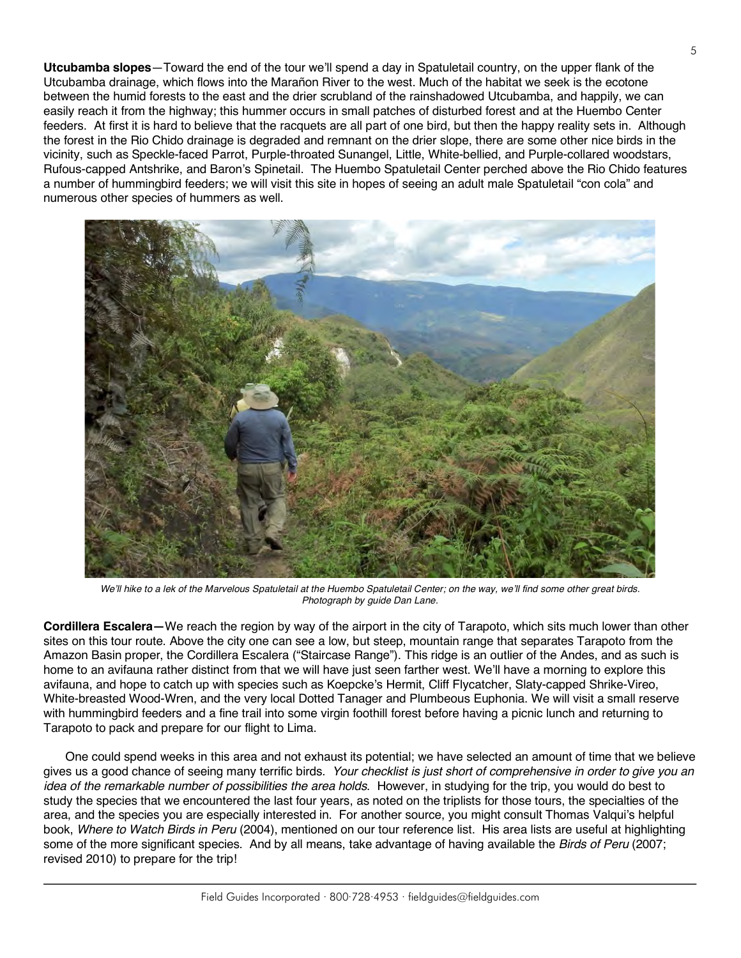**Utcubamba slopes**—Toward the end of the tour we'll spend a day in Spatuletail country, on the upper flank of the Utcubamba drainage, which flows into the Marañon River to the west. Much of the habitat we seek is the ecotone between the humid forests to the east and the drier scrubland of the rainshadowed Utcubamba, and happily, we can easily reach it from the highway; this hummer occurs in small patches of disturbed forest and at the Huembo Center feeders. At first it is hard to believe that the racquets are all part of one bird, but then the happy reality sets in. Although the forest in the Rio Chido drainage is degraded and remnant on the drier slope, there are some other nice birds in the vicinity, such as Speckle-faced Parrot, Purple-throated Sunangel, Little, White-bellied, and Purple-collared woodstars, Rufous-capped Antshrike, and Baron's Spinetail. The Huembo Spatuletail Center perched above the Rio Chido features a number of hummingbird feeders; we will visit this site in hopes of seeing an adult male Spatuletail "con cola" and numerous other species of hummers as well.



*We'll hike to a lek of the Marvelous Spatuletail at the Huembo Spatuletail Center; on the way, we'll find some other great birds. Photograph by guide Dan Lane.*

**Cordillera Escalera—**We reach the region by way of the airport in the city of Tarapoto, which sits much lower than other sites on this tour route. Above the city one can see a low, but steep, mountain range that separates Tarapoto from the Amazon Basin proper, the Cordillera Escalera ("Staircase Range"). This ridge is an outlier of the Andes, and as such is home to an avifauna rather distinct from that we will have just seen farther west. We'll have a morning to explore this avifauna, and hope to catch up with species such as Koepcke's Hermit, Cliff Flycatcher, Slaty-capped Shrike-Vireo, White-breasted Wood-Wren, and the very local Dotted Tanager and Plumbeous Euphonia. We will visit a small reserve with hummingbird feeders and a fine trail into some virgin foothill forest before having a picnic lunch and returning to Tarapoto to pack and prepare for our flight to Lima.

One could spend weeks in this area and not exhaust its potential; we have selected an amount of time that we believe gives us a good chance of seeing many terrific birds. *Your checklist is just short of comprehensive in order to give you an idea of the remarkable number of possibilities the area holds*. However, in studying for the trip, you would do best to study the species that we encountered the last four years, as noted on the triplists for those tours, the specialties of the area, and the species you are especially interested in. For another source, you might consult Thomas Valqui's helpful book, *Where to Watch Birds in Peru* (2004), mentioned on our tour reference list. His area lists are useful at highlighting some of the more significant species. And by all means, take advantage of having available the *Birds of Peru* (2007; revised 2010) to prepare for the trip!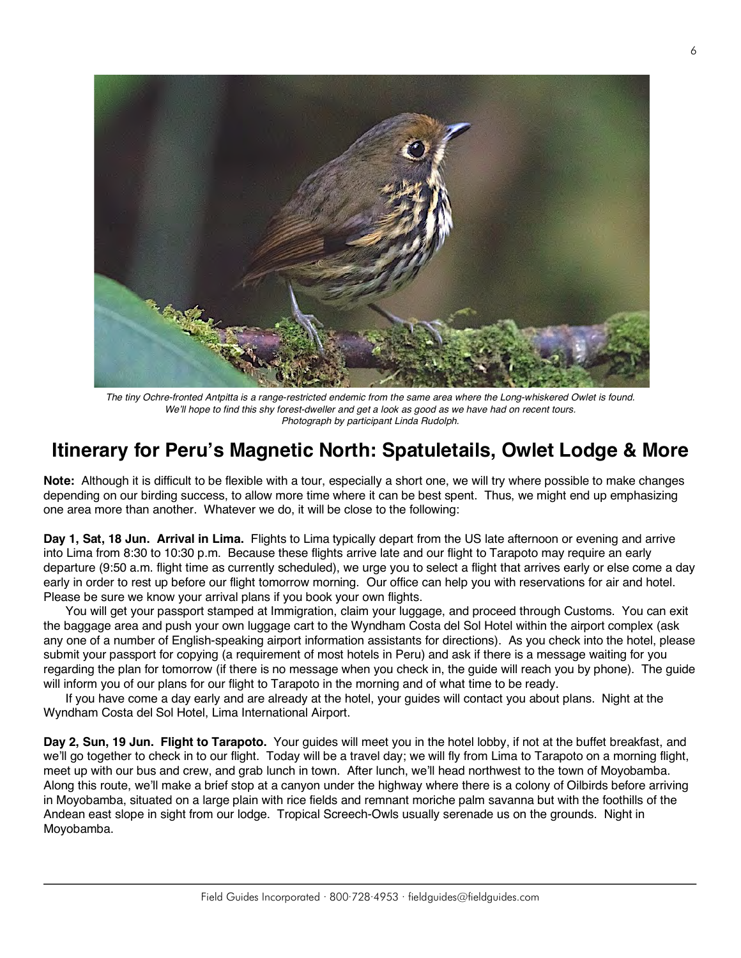

*The tiny Ochre-fronted Antpitta is a range-restricted endemic from the same area where the Long-whiskered Owlet is found. We'll hope to find this shy forest-dweller and get a look as good as we have had on recent tours. Photograph by participant Linda Rudolph.*

## **Itinerary for Peru's Magnetic North: Spatuletails, Owlet Lodge & More**

**Note:** Although it is difficult to be flexible with a tour, especially a short one, we will try where possible to make changes depending on our birding success, to allow more time where it can be best spent. Thus, we might end up emphasizing one area more than another. Whatever we do, it will be close to the following:

**Day 1, Sat, 18 Jun. Arrival in Lima.** Flights to Lima typically depart from the US late afternoon or evening and arrive into Lima from 8:30 to 10:30 p.m. Because these flights arrive late and our flight to Tarapoto may require an early departure (9:50 a.m. flight time as currently scheduled), we urge you to select a flight that arrives early or else come a day early in order to rest up before our flight tomorrow morning. Our office can help you with reservations for air and hotel. Please be sure we know your arrival plans if you book your own flights.

You will get your passport stamped at Immigration, claim your luggage, and proceed through Customs. You can exit the baggage area and push your own luggage cart to the Wyndham Costa del Sol Hotel within the airport complex (ask any one of a number of English-speaking airport information assistants for directions). As you check into the hotel, please submit your passport for copying (a requirement of most hotels in Peru) and ask if there is a message waiting for you regarding the plan for tomorrow (if there is no message when you check in, the guide will reach you by phone). The guide will inform you of our plans for our flight to Tarapoto in the morning and of what time to be ready.

If you have come a day early and are already at the hotel, your guides will contact you about plans. Night at the Wyndham Costa del Sol Hotel, Lima International Airport.

**Day 2, Sun, 19 Jun. Flight to Tarapoto.** Your guides will meet you in the hotel lobby, if not at the buffet breakfast, and we'll go together to check in to our flight. Today will be a travel day; we will fly from Lima to Tarapoto on a morning flight, meet up with our bus and crew, and grab lunch in town. After lunch, we'll head northwest to the town of Moyobamba. Along this route, we'll make a brief stop at a canyon under the highway where there is a colony of Oilbirds before arriving in Moyobamba, situated on a large plain with rice fields and remnant moriche palm savanna but with the foothills of the Andean east slope in sight from our lodge. Tropical Screech-Owls usually serenade us on the grounds. Night in Moyobamba.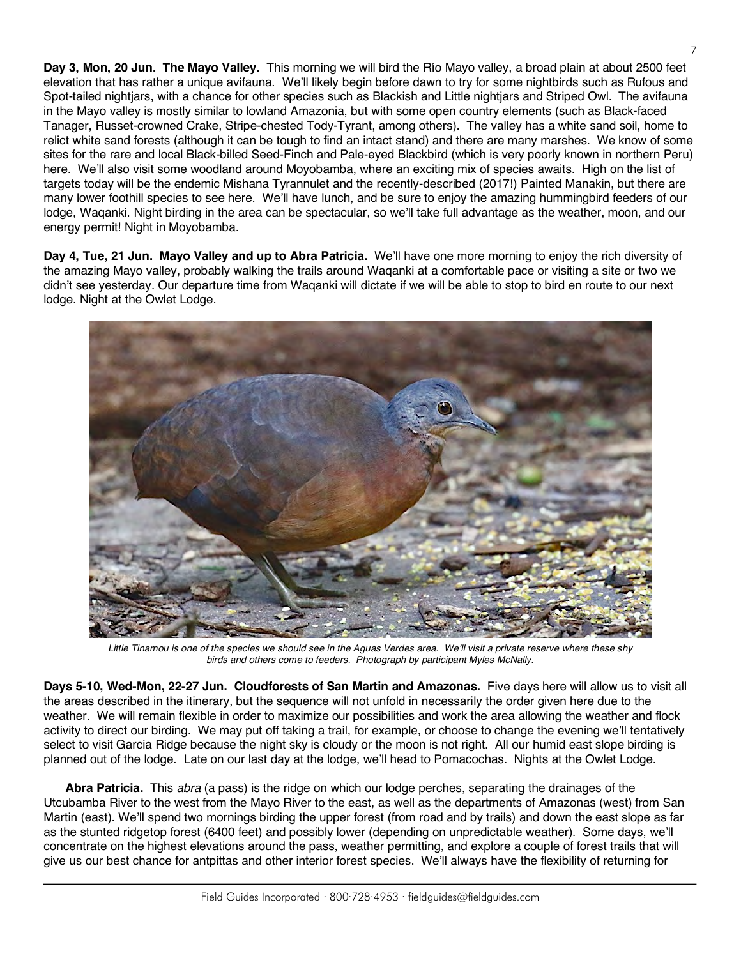**Day 3, Mon, 20 Jun. The Mayo Valley.** This morning we will bird the Río Mayo valley, a broad plain at about 2500 feet elevation that has rather a unique avifauna. We'll likely begin before dawn to try for some nightbirds such as Rufous and Spot-tailed nightjars, with a chance for other species such as Blackish and Little nightjars and Striped Owl. The avifauna in the Mayo valley is mostly similar to lowland Amazonia, but with some open country elements (such as Black-faced Tanager, Russet-crowned Crake, Stripe-chested Tody-Tyrant, among others). The valley has a white sand soil, home to relict white sand forests (although it can be tough to find an intact stand) and there are many marshes. We know of some sites for the rare and local Black-billed Seed-Finch and Pale-eyed Blackbird (which is very poorly known in northern Peru) here. We'll also visit some woodland around Movobamba, where an exciting mix of species awaits. High on the list of targets today will be the endemic Mishana Tyrannulet and the recently-described (2017!) Painted Manakin, but there are many lower foothill species to see here. We'll have lunch, and be sure to enjoy the amazing hummingbird feeders of our lodge, Waqanki. Night birding in the area can be spectacular, so we'll take full advantage as the weather, moon, and our energy permit! Night in Moyobamba.

**Day 4, Tue, 21 Jun. Mayo Valley and up to Abra Patricia.** We'll have one more morning to enjoy the rich diversity of the amazing Mayo valley, probably walking the trails around Waqanki at a comfortable pace or visiting a site or two we didn't see yesterday. Our departure time from Waqanki will dictate if we will be able to stop to bird en route to our next lodge. Night at the Owlet Lodge.



*Little Tinamou is one of the species we should see in the Aguas Verdes area. We'll visit a private reserve where these shy birds and others come to feeders. Photograph by participant Myles McNally.*

**Days 5-10, Wed-Mon, 22-27 Jun. Cloudforests of San Martin and Amazonas.** Five days here will allow us to visit all the areas described in the itinerary, but the sequence will not unfold in necessarily the order given here due to the weather. We will remain flexible in order to maximize our possibilities and work the area allowing the weather and flock activity to direct our birding. We may put off taking a trail, for example, or choose to change the evening we'll tentatively select to visit Garcia Ridge because the night sky is cloudy or the moon is not right. All our humid east slope birding is planned out of the lodge. Late on our last day at the lodge, we'll head to Pomacochas. Nights at the Owlet Lodge.

**Abra Patricia.** This *abra* (a pass) is the ridge on which our lodge perches, separating the drainages of the Utcubamba River to the west from the Mayo River to the east, as well as the departments of Amazonas (west) from San Martin (east). We'll spend two mornings birding the upper forest (from road and by trails) and down the east slope as far as the stunted ridgetop forest (6400 feet) and possibly lower (depending on unpredictable weather). Some days, we'll concentrate on the highest elevations around the pass, weather permitting, and explore a couple of forest trails that will give us our best chance for antpittas and other interior forest species. We'll always have the flexibility of returning for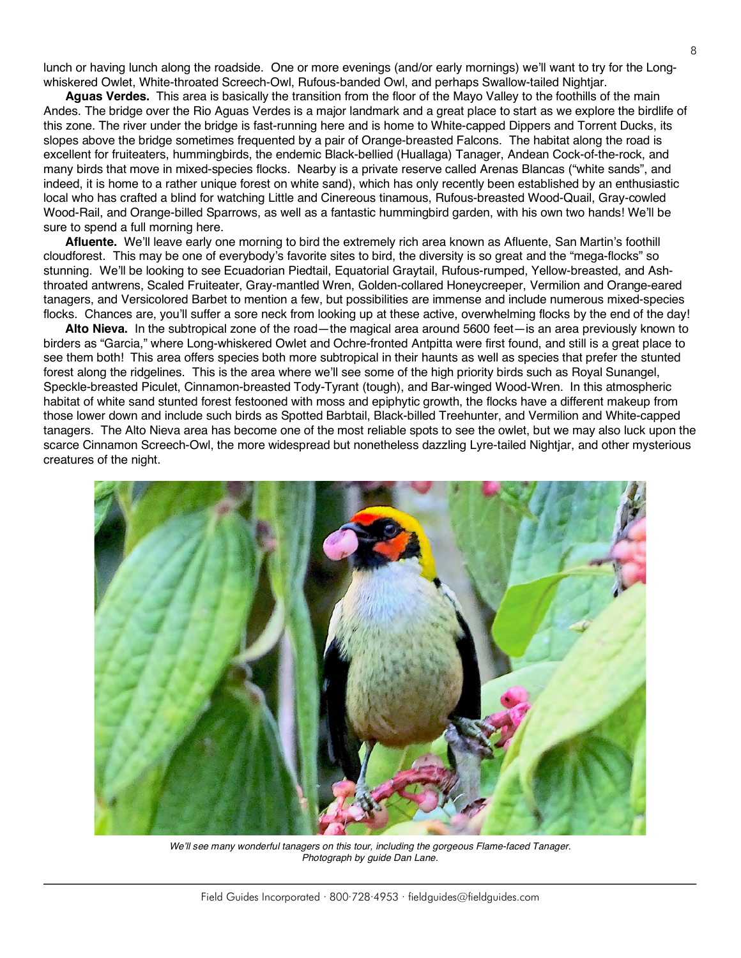lunch or having lunch along the roadside. One or more evenings (and/or early mornings) we'll want to try for the Longwhiskered Owlet, White-throated Screech-Owl, Rufous-banded Owl, and perhaps Swallow-tailed Nightjar.

**Aguas Verdes.** This area is basically the transition from the floor of the Mayo Valley to the foothills of the main Andes. The bridge over the Rio Aguas Verdes is a major landmark and a great place to start as we explore the birdlife of this zone. The river under the bridge is fast-running here and is home to White-capped Dippers and Torrent Ducks, its slopes above the bridge sometimes frequented by a pair of Orange-breasted Falcons. The habitat along the road is excellent for fruiteaters, hummingbirds, the endemic Black-bellied (Huallaga) Tanager, Andean Cock-of-the-rock, and many birds that move in mixed-species flocks. Nearby is a private reserve called Arenas Blancas ("white sands", and indeed, it is home to a rather unique forest on white sand), which has only recently been established by an enthusiastic local who has crafted a blind for watching Little and Cinereous tinamous, Rufous-breasted Wood-Quail, Gray-cowled Wood-Rail, and Orange-billed Sparrows, as well as a fantastic hummingbird garden, with his own two hands! We'll be sure to spend a full morning here.

**Afluente.** We'll leave early one morning to bird the extremely rich area known as Afluente, San Martin's foothill cloudforest. This may be one of everybody's favorite sites to bird, the diversity is so great and the "mega-flocks" so stunning. We'll be looking to see Ecuadorian Piedtail, Equatorial Graytail, Rufous-rumped, Yellow-breasted, and Ashthroated antwrens, Scaled Fruiteater, Gray-mantled Wren, Golden-collared Honeycreeper, Vermilion and Orange-eared tanagers, and Versicolored Barbet to mention a few, but possibilities are immense and include numerous mixed-species flocks. Chances are, you'll suffer a sore neck from looking up at these active, overwhelming flocks by the end of the day!

**Alto Nieva.** In the subtropical zone of the road—the magical area around 5600 feet—is an area previously known to birders as "Garcia," where Long-whiskered Owlet and Ochre-fronted Antpitta were first found, and still is a great place to see them both! This area offers species both more subtropical in their haunts as well as species that prefer the stunted forest along the ridgelines. This is the area where we'll see some of the high priority birds such as Royal Sunangel, Speckle-breasted Piculet, Cinnamon-breasted Tody-Tyrant (tough), and Bar-winged Wood-Wren. In this atmospheric habitat of white sand stunted forest festooned with moss and epiphytic growth, the flocks have a different makeup from those lower down and include such birds as Spotted Barbtail, Black-billed Treehunter, and Vermilion and White-capped tanagers. The Alto Nieva area has become one of the most reliable spots to see the owlet, but we may also luck upon the scarce Cinnamon Screech-Owl, the more widespread but nonetheless dazzling Lyre-tailed Nightjar, and other mysterious creatures of the night.



We'll see many wonderful tanagers on this tour, including the gorgeous Flame-faced Tanager. *Photograph by guide Dan Lane.*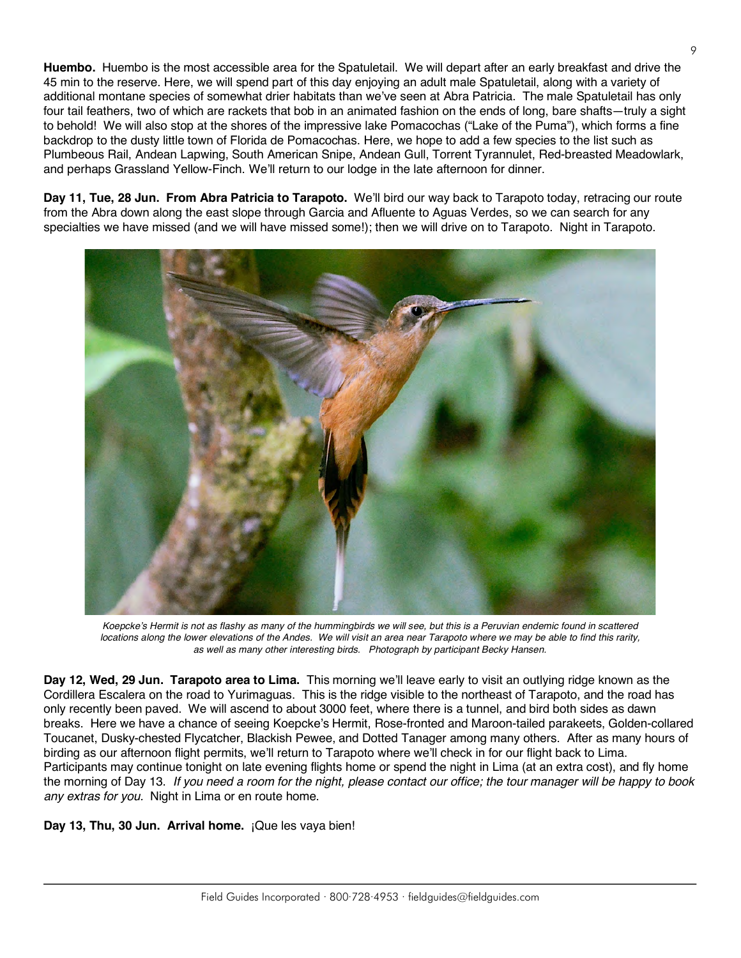**Huembo.** Huembo is the most accessible area for the Spatuletail. We will depart after an early breakfast and drive the 45 min to the reserve. Here, we will spend part of this day enjoying an adult male Spatuletail, along with a variety of additional montane species of somewhat drier habitats than we've seen at Abra Patricia. The male Spatuletail has only four tail feathers, two of which are rackets that bob in an animated fashion on the ends of long, bare shafts—truly a sight to behold! We will also stop at the shores of the impressive lake Pomacochas ("Lake of the Puma"), which forms a fine backdrop to the dusty little town of Florida de Pomacochas. Here, we hope to add a few species to the list such as Plumbeous Rail, Andean Lapwing, South American Snipe, Andean Gull, Torrent Tyrannulet, Red-breasted Meadowlark, and perhaps Grassland Yellow-Finch. We'll return to our lodge in the late afternoon for dinner.

**Day 11, Tue, 28 Jun. From Abra Patricia to Tarapoto.** We'll bird our way back to Tarapoto today, retracing our route from the Abra down along the east slope through Garcia and Afluente to Aguas Verdes, so we can search for any specialties we have missed (and we will have missed some!); then we will drive on to Tarapoto. Night in Tarapoto.



*Koepcke's Hermit is not as flashy as many of the hummingbirds we will see, but this is a Peruvian endemic found in scattered locations along the lower elevations of the Andes. We will visit an area near Tarapoto where we may be able to find this rarity, as well as many other interesting birds. Photograph by participant Becky Hansen.*

**Day 12, Wed, 29 Jun. Tarapoto area to Lima.** This morning we'll leave early to visit an outlying ridge known as the Cordillera Escalera on the road to Yurimaguas. This is the ridge visible to the northeast of Tarapoto, and the road has only recently been paved. We will ascend to about 3000 feet, where there is a tunnel, and bird both sides as dawn breaks. Here we have a chance of seeing Koepcke's Hermit, Rose-fronted and Maroon-tailed parakeets, Golden-collared Toucanet, Dusky-chested Flycatcher, Blackish Pewee, and Dotted Tanager among many others. After as many hours of birding as our afternoon flight permits, we'll return to Tarapoto where we'll check in for our flight back to Lima. Participants may continue tonight on late evening flights home or spend the night in Lima (at an extra cost), and fly home the morning of Day 13. *If you need a room for the night, please contact our office; the tour manager will be happy to book any extras for you.* Night in Lima or en route home.

**Day 13, Thu, 30 Jun. Arrival home.** ¡Que les vaya bien!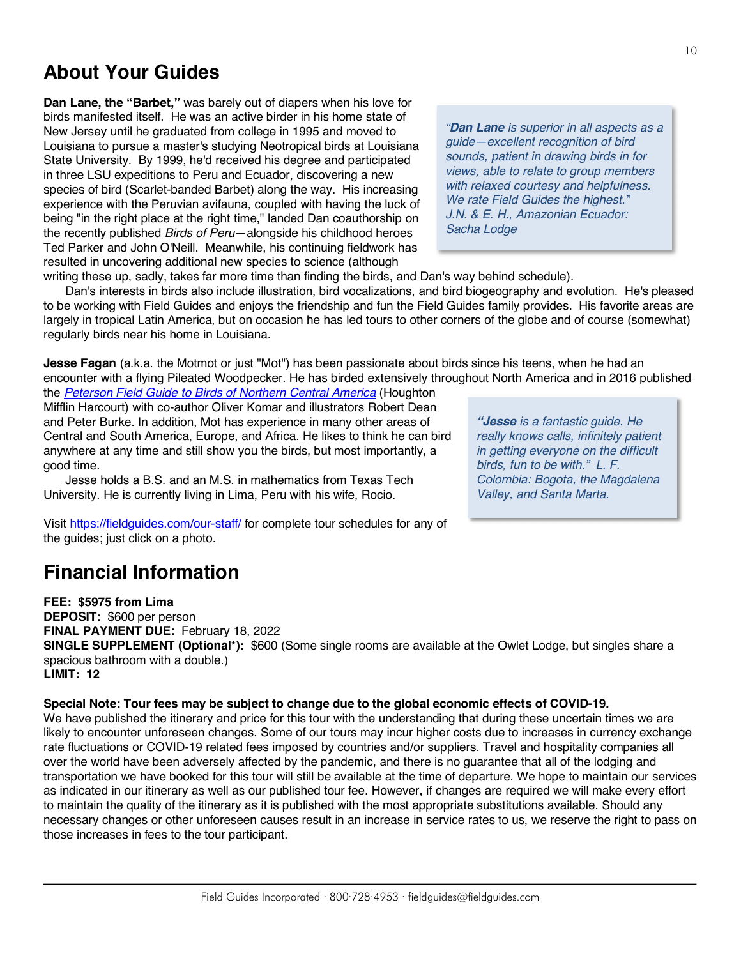# **About Your Guides**

**Dan Lane, the "Barbet,"** was barely out of diapers when his love for birds manifested itself. He was an active birder in his home state of New Jersey until he graduated from college in 1995 and moved to Louisiana to pursue a master's studying Neotropical birds at Louisiana State University. By 1999, he'd received his degree and participated in three LSU expeditions to Peru and Ecuador, discovering a new species of bird (Scarlet-banded Barbet) along the way. His increasing experience with the Peruvian avifauna, coupled with having the luck of being "in the right place at the right time," landed Dan coauthorship on the recently published *Birds of Peru*—alongside his childhood heroes Ted Parker and John O'Neill. Meanwhile, his continuing fieldwork has resulted in uncovering additional new species to science (although

*"Dan Lane is superior in all aspects as a guide—excellent recognition of bird sounds, patient in drawing birds in for views, able to relate to group members with relaxed courtesy and helpfulness. We rate Field Guides the highest." J.N. & E. H., Amazonian Ecuador: Sacha Lodge* 

writing these up, sadly, takes far more time than finding the birds, and Dan's way behind schedule).

Dan's interests in birds also include illustration, bird vocalizations, and bird biogeography and evolution. He's pleased to be working with Field Guides and enjoys the friendship and fun the Field Guides family provides. His favorite areas are largely in tropical Latin America, but on occasion he has led tours to other corners of the globe and of course (somewhat) regularly birds near his home in Louisiana.

**Jesse Fagan** (a.k.a. the Motmot or just "Mot") has been passionate about birds since his teens, when he had an encounter with a flying Pileated Woodpecker. He has birded extensively throughout North America and in 2016 published the *[Peterson Field Guide to Birds of Northern Central America](https://www.amazon.com/Peterson-Northern-Central-America-Guides/dp/054437326X)* (Houghton

Mifflin Harcourt) with co-author Oliver Komar and illustrators Robert Dean and Peter Burke. In addition, Mot has experience in many other areas of Central and South America, Europe, and Africa. He likes to think he can bird anywhere at any time and still show you the birds, but most importantly, a good time.

Jesse holds a B.S. and an M.S. in mathematics from Texas Tech University. He is currently living in Lima, Peru with his wife, Rocio.

*"Jesse is a fantastic guide. He really knows calls, infinitely patient in getting everyone on the difficult birds, fun to be with." L. F. Colombia: Bogota, the Magdalena Valley, and Santa Marta.*

Visit https://fieldguides.com/our-staff/ for complete tour schedules for any of the guides; just click on a photo.

# **Financial Information**

**FEE: \$5975 from Lima DEPOSIT:** \$600 per person **FINAL PAYMENT DUE:** February 18, 2022 **SINGLE SUPPLEMENT (Optional\*):** \$600 (Some single rooms are available at the Owlet Lodge, but singles share a spacious bathroom with a double.) **LIMIT: 12**

**Special Note: Tour fees may be subject to change due to the global economic effects of COVID-19.**

We have published the itinerary and price for this tour with the understanding that during these uncertain times we are likely to encounter unforeseen changes. Some of our tours may incur higher costs due to increases in currency exchange rate fluctuations or COVID-19 related fees imposed by countries and/or suppliers. Travel and hospitality companies all over the world have been adversely affected by the pandemic, and there is no guarantee that all of the lodging and transportation we have booked for this tour will still be available at the time of departure. We hope to maintain our services as indicated in our itinerary as well as our published tour fee. However, if changes are required we will make every effort to maintain the quality of the itinerary as it is published with the most appropriate substitutions available. Should any necessary changes or other unforeseen causes result in an increase in service rates to us, we reserve the right to pass on those increases in fees to the tour participant.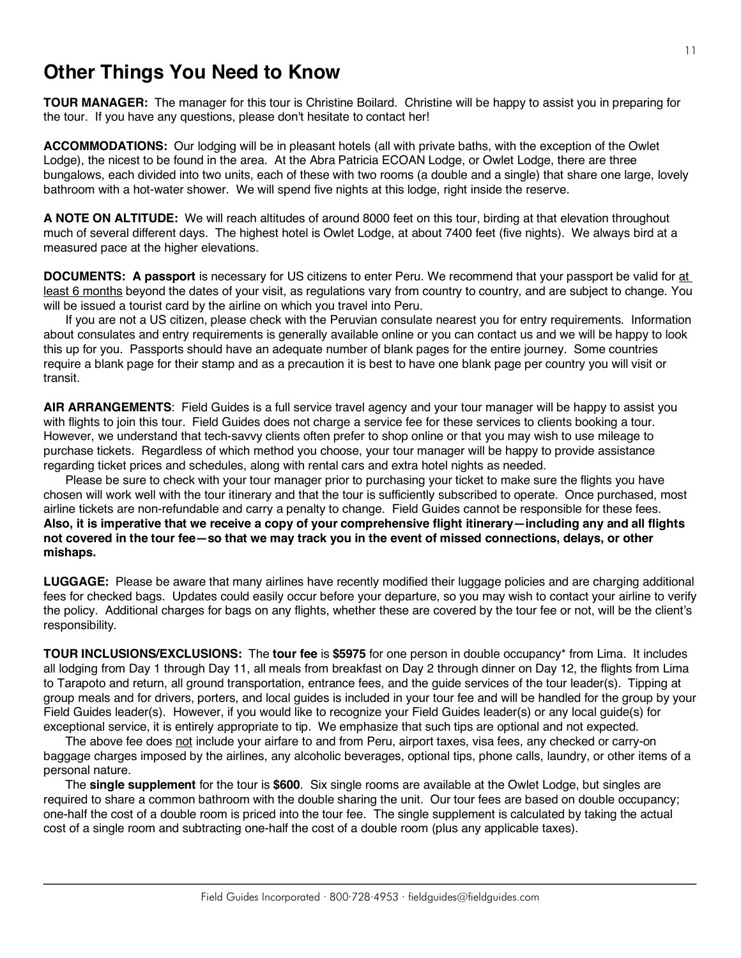## **Other Things You Need to Know**

**TOUR MANAGER:** The manager for this tour is Christine Boilard. Christine will be happy to assist you in preparing for the tour. If you have any questions, please don't hesitate to contact her!

**ACCOMMODATIONS:** Our lodging will be in pleasant hotels (all with private baths, with the exception of the Owlet Lodge), the nicest to be found in the area. At the Abra Patricia ECOAN Lodge, or Owlet Lodge, there are three bungalows, each divided into two units, each of these with two rooms (a double and a single) that share one large, lovely bathroom with a hot-water shower. We will spend five nights at this lodge, right inside the reserve.

**A NOTE ON ALTITUDE:** We will reach altitudes of around 8000 feet on this tour, birding at that elevation throughout much of several different days. The highest hotel is Owlet Lodge, at about 7400 feet (five nights). We always bird at a measured pace at the higher elevations.

**DOCUMENTS: A passport** is necessary for US citizens to enter Peru. We recommend that your passport be valid for at least 6 months beyond the dates of your visit, as regulations vary from country to country, and are subject to change. You will be issued a tourist card by the airline on which you travel into Peru.

If you are not a US citizen, please check with the Peruvian consulate nearest you for entry requirements. Information about consulates and entry requirements is generally available online or you can contact us and we will be happy to look this up for you. Passports should have an adequate number of blank pages for the entire journey. Some countries require a blank page for their stamp and as a precaution it is best to have one blank page per country you will visit or transit.

**AIR ARRANGEMENTS**: Field Guides is a full service travel agency and your tour manager will be happy to assist you with flights to join this tour. Field Guides does not charge a service fee for these services to clients booking a tour. However, we understand that tech-savvy clients often prefer to shop online or that you may wish to use mileage to purchase tickets. Regardless of which method you choose, your tour manager will be happy to provide assistance regarding ticket prices and schedules, along with rental cars and extra hotel nights as needed.

Please be sure to check with your tour manager prior to purchasing your ticket to make sure the flights you have chosen will work well with the tour itinerary and that the tour is sufficiently subscribed to operate. Once purchased, most airline tickets are non-refundable and carry a penalty to change. Field Guides cannot be responsible for these fees. **Also, it is imperative that we receive a copy of your comprehensive flight itinerary—including any and all flights not covered in the tour fee—so that we may track you in the event of missed connections, delays, or other mishaps.**

**LUGGAGE:** Please be aware that many airlines have recently modified their luggage policies and are charging additional fees for checked bags. Updates could easily occur before your departure, so you may wish to contact your airline to verify the policy. Additional charges for bags on any flights, whether these are covered by the tour fee or not, will be the client's responsibility.

**TOUR INCLUSIONS/EXCLUSIONS:** The **tour fee** is **\$5975** for one person in double occupancy\* from Lima. It includes all lodging from Day 1 through Day 11, all meals from breakfast on Day 2 through dinner on Day 12, the flights from Lima to Tarapoto and return, all ground transportation, entrance fees, and the guide services of the tour leader(s). Tipping at group meals and for drivers, porters, and local guides is included in your tour fee and will be handled for the group by your Field Guides leader(s). However, if you would like to recognize your Field Guides leader(s) or any local guide(s) for exceptional service, it is entirely appropriate to tip. We emphasize that such tips are optional and not expected.

The above fee does not include your airfare to and from Peru, airport taxes, visa fees, any checked or carry-on baggage charges imposed by the airlines, any alcoholic beverages, optional tips, phone calls, laundry, or other items of a personal nature.

The **single supplement** for the tour is **\$600**. Six single rooms are available at the Owlet Lodge, but singles are required to share a common bathroom with the double sharing the unit. Our tour fees are based on double occupancy; one-half the cost of a double room is priced into the tour fee. The single supplement is calculated by taking the actual cost of a single room and subtracting one-half the cost of a double room (plus any applicable taxes).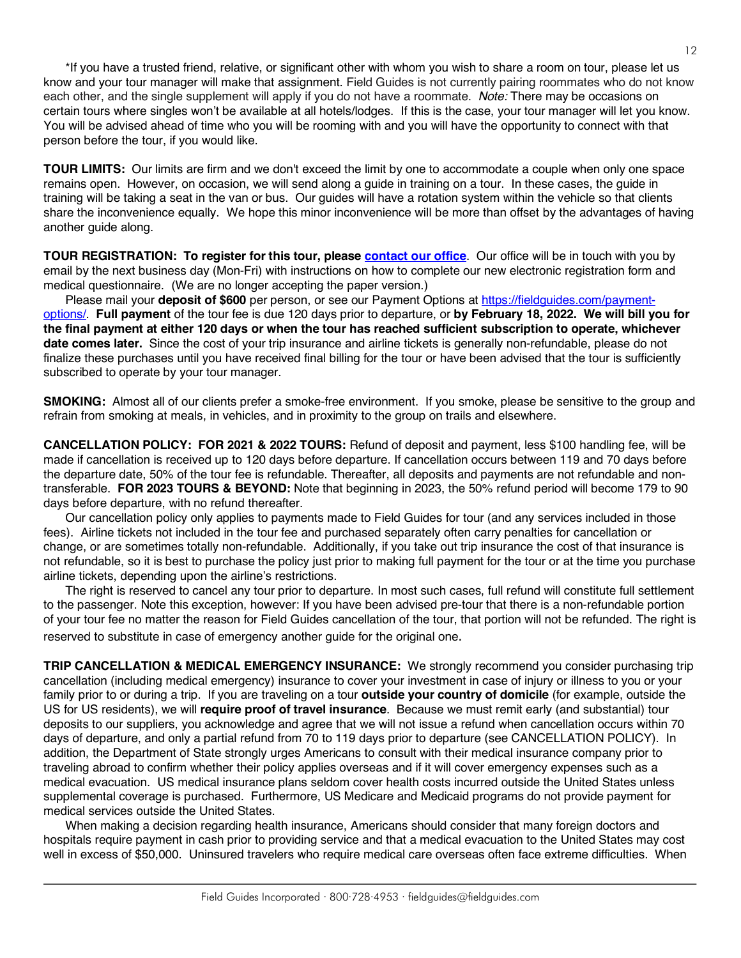\*If you have a trusted friend, relative, or significant other with whom you wish to share a room on tour, please let us know and your tour manager will make that assignment. Field Guides is not currently pairing roommates who do not know each other, and the single supplement will apply if you do not have a roommate. *Note:* There may be occasions on certain tours where singles won't be available at all hotels/lodges. If this is the case, your tour manager will let you know. You will be advised ahead of time who you will be rooming with and you will have the opportunity to connect with that person before the tour, if you would like.

**TOUR LIMITS:** Our limits are firm and we don't exceed the limit by one to accommodate a couple when only one space remains open. However, on occasion, we will send along a guide in training on a tour. In these cases, the guide in training will be taking a seat in the van or bus. Our guides will have a rotation system within the vehicle so that clients share the inconvenience equally. We hope this minor inconvenience will be more than offset by the advantages of having another guide along.

**TOUR REGISTRATION: To register for this tour, please [contact our office](https://fieldguides.com/contact-us/)**. Our office will be in touch with you by email by the next business day (Mon-Fri) with instructions on how to complete our new electronic registration form and medical questionnaire. (We are no longer accepting the paper version.)

Please mail your **deposit of \$600** per person, or see our Payment Options at [https://fieldguides.com/payment](https://fieldguides.com/payment-options/)[options/.](https://fieldguides.com/payment-options/) **Full payment** of the tour fee is due 120 days prior to departure, or **by February 18, 2022. We will bill you for the final payment at either 120 days or when the tour has reached sufficient subscription to operate, whichever date comes later.** Since the cost of your trip insurance and airline tickets is generally non-refundable, please do not finalize these purchases until you have received final billing for the tour or have been advised that the tour is sufficiently subscribed to operate by your tour manager.

**SMOKING:** Almost all of our clients prefer a smoke-free environment. If you smoke, please be sensitive to the group and refrain from smoking at meals, in vehicles, and in proximity to the group on trails and elsewhere.

**CANCELLATION POLICY: FOR 2021 & 2022 TOURS:** Refund of deposit and payment, less \$100 handling fee, will be made if cancellation is received up to 120 days before departure. If cancellation occurs between 119 and 70 days before the departure date, 50% of the tour fee is refundable. Thereafter, all deposits and payments are not refundable and nontransferable. **FOR 2023 TOURS & BEYOND:** Note that beginning in 2023, the 50% refund period will become 179 to 90 days before departure, with no refund thereafter.

Our cancellation policy only applies to payments made to Field Guides for tour (and any services included in those fees). Airline tickets not included in the tour fee and purchased separately often carry penalties for cancellation or change, or are sometimes totally non-refundable. Additionally, if you take out trip insurance the cost of that insurance is not refundable, so it is best to purchase the policy just prior to making full payment for the tour or at the time you purchase airline tickets, depending upon the airline's restrictions.

The right is reserved to cancel any tour prior to departure. In most such cases, full refund will constitute full settlement to the passenger. Note this exception, however: If you have been advised pre-tour that there is a non-refundable portion of your tour fee no matter the reason for Field Guides cancellation of the tour, that portion will not be refunded. The right is reserved to substitute in case of emergency another guide for the original one.

**TRIP CANCELLATION & MEDICAL EMERGENCY INSURANCE:** We strongly recommend you consider purchasing trip cancellation (including medical emergency) insurance to cover your investment in case of injury or illness to you or your family prior to or during a trip. If you are traveling on a tour **outside your country of domicile** (for example, outside the US for US residents), we will **require proof of travel insurance**. Because we must remit early (and substantial) tour deposits to our suppliers, you acknowledge and agree that we will not issue a refund when cancellation occurs within 70 days of departure, and only a partial refund from 70 to 119 days prior to departure (see CANCELLATION POLICY). In addition, the Department of State strongly urges Americans to consult with their medical insurance company prior to traveling abroad to confirm whether their policy applies overseas and if it will cover emergency expenses such as a medical evacuation. US medical insurance plans seldom cover health costs incurred outside the United States unless supplemental coverage is purchased. Furthermore, US Medicare and Medicaid programs do not provide payment for medical services outside the United States.

When making a decision regarding health insurance, Americans should consider that many foreign doctors and hospitals require payment in cash prior to providing service and that a medical evacuation to the United States may cost well in excess of \$50,000. Uninsured travelers who require medical care overseas often face extreme difficulties. When